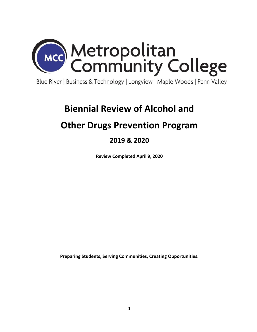

Blue River | Business & Technology | Longview | Maple Woods | Penn Valley

# **Biennial Review of Alcohol and**

# **Other Drugs Prevention Program**

# **2019 & 2020**

**Review Completed April 9, 2020**

**Preparing Students, Serving Communities, Creating Opportunities.**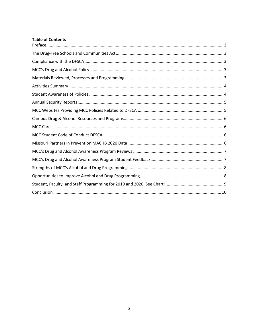# **Table of Contents**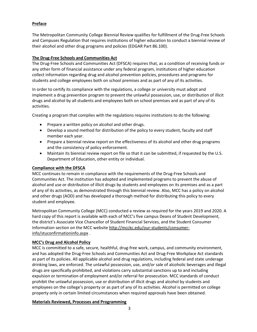# <span id="page-2-0"></span>**Preface**

The Metropolitan Community College Biennial Review qualifies for fulfillment of the Drug-Free Schools and Campuses Regulation that requires institutions of higher education to conduct a biennial review of their alcohol and other drug programs and policies (EDGAR Part 86.100).

# <span id="page-2-1"></span>**The Drug-Free Schools and Communities Act**

The Drug-Free Schools and Communities Act (DFSCA) requires that, as a condition of receiving funds or any other form of financial assistance under any federal program, institutions of higher education collect information regarding drug and alcohol prevention policies, procedures and programs for students and college employees both on school premises and as part of any of its activities.

In order to certify its compliance with the regulations, a college or university must adopt and implement a drug prevention program to prevent the unlawful possession, use, or distribution of illicit drugs and alcohol by all students and employees both on school premises and as part of any of its activities.

Creating a program that complies with the regulations requires institutions to do the following:

- Prepare a written policy on alcohol and other drugs.
- Develop a sound method for distribution of the policy to every student, faculty and staff member each year.
- Prepare a biennial review report on the effectiveness of its alcohol and other drug programs and the consistency of policy enforcement.
- Maintain its biennial review report on file so that it can be submitted, if requested by the U.S. Department of Education, other entity or individual.

#### <span id="page-2-2"></span>**Compliance with the DFSCA**

MCC continues to remain in compliance with the requirements of the Drug-Free Schools and Communities Act. The institution has adopted and implemented programs to prevent the abuse of alcohol and use or distribution of illicit drugs by students and employees on its premises and as a part of any of its activities, as demonstrated through this biennial review. Also, MCC has a policy on alcohol and other drugs (AOD) and has developed a thorough method for distributing this policy to every student and employee.

Metropolitan Community College (MCC) conducted a review as required for the years 2019 and 2020. A hard copy of this report is available with each of MCC's five campus Deans of Student Development, the district's Associate Vice Chancellor of Student Financial Services, and the Student Consumer Information section on the MCC website [http://mcckc.edu/our-students/consumer](http://mcckc.edu/our-students/consumer-info/stuconfirmationinfo.aspx)[info/stuconfirmationinfo.aspx](http://mcckc.edu/our-students/consumer-info/stuconfirmationinfo.aspx) .

# <span id="page-2-3"></span>**MCC's Drug and Alcohol Policy**

MCC is committed to a safe, secure, healthful, drug-free work, campus, and community environment, and has adopted the Drug-Free Schools and Communities Act and Drug-Free Workplace Act standards as part of its policies. All applicable alcohol and drug regulations, including federal and state underage drinking laws, are enforced. The unlawful possession, use, and/or sale of alcoholic beverages and illegal drugs are specifically prohibited, and violations carry substantial sanctions up to and including expulsion or termination of employment and/or referral for prosecution. MCC standards of conduct prohibit the unlawful possession, use or distribution of illicit drugs and alcohol by students and employees on the college's property or as part of any of its activities. Alcohol is permitted on college property only in certain limited circumstances when required approvals have been obtained.

# <span id="page-2-4"></span>**Materials Reviewed, Processes and Programming**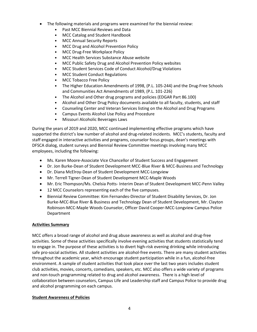- The following materials and programs were examined for the biennial review:
	- Past MCC Biennial Reviews and Data
	- MCC Catalog and Student Handbook
	- MCC Annual Security Reports
	- MCC Drug and Alcohol Prevention Policy
	- MCC Drug-Free Workplace Policy
	- MCC Health Services Substance Abuse website
	- MCC Public Safety Drug and Alcohol Prevention Policy websites
	- MCC Student Services Code of Conduct Alcohol/Drug Violations
	- MCC Student Conduct Regulations
	- MCC Tobacco Free Policy
	- The Higher Education Amendments of 1998, (P.L. 105-244) and the Drug-Free Schools and Communities Act Amendments of 1989, (P.L. 101-226)
	- The Alcohol and Other drug programs and policies (EDGAR Part 86.100)
	- Alcohol and Other Drug Policy documents available to all faculty, students, and staff
	- Counseling Center and Veteran Services listing on the Alcohol and Drug Programs
	- Campus Events Alcohol Use Policy and Procedure
	- Missouri Alcoholic Beverages Laws

During the years of 2019 and 2020, MCC continued implementing effective programs which have supported the district's low number of alcohol and drug-related incidents. MCC's students, faculty and staff engaged in interactive activities and programs, counselor focus groups, dean's meetings with DFSCA dialog, student surveys and Biennial Review Committee meetings involving many MCC employees, including the following:

- Ms. Karen Moore-Associate Vice Chancellor of Student Success and Engagement
- Dr. Jon Burke-Dean of Student Development MCC-Blue River & MCC-Business and Technology
- Dr. Diana McElroy-Dean of Student Development MCC-Longview
- Mr. Terrell Tigner-Dean of Student Development MCC-Maple Woods
- Mr. Eric Thompson/Ms. Chelsia Potts- Interim Dean of Student Development MCC-Penn Valley
- 12 MCC Counselors representing each of the five campuses.
- Biennial Review Committee: Kim Fernandes-Director of Student Disability Services, Dr. Jon Burke-MCC-Blue River & Business and Technology Dean of Student Development, Mr. Clayton Robinson-MCC-Maple Woods Counselor, Officer David Cooper-MCC-Longview Campus Police Department

#### <span id="page-3-0"></span>**Activities Summary**

MCC offers a broad range of alcohol and drug abuse awareness as well as alcohol and drug-free activities. Some of these activities specifically involve evening activities that students statistically tend to engage in. The purpose of these activities is to divert high-risk evening drinking while introducing safe pro-social activities. All student activities are alcohol-free events. There are many student activities throughout the academic year, which encourage student participation while in a fun, alcohol-free environment. A sample of student activities that took place over the last two years includes student club activities, movies, concerts, comedians, speakers, etc. MCC also offers a wide variety of programs and non-touch programming related to drug and alcohol awareness. There is a high level of collaboration between counselors, Campus Life and Leadership staff and Campus Police to provide drug and alcohol programming on each campus.

#### <span id="page-3-1"></span>**Student Awareness of Policies**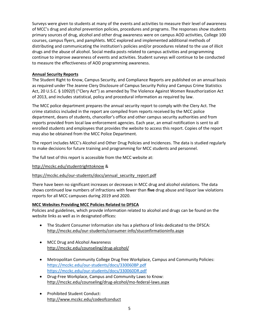Surveys were given to students at many of the events and activities to measure their level of awareness of MCC's drug and alcohol prevention policies, procedures and programs. The responses show students primary sources of drug, alcohol and other drug awareness were on campus AOD activities, College 100 courses, campus flyers, and pamphlets. MCC explored and implemented additional methods of distributing and communicating the institution's policies and/or procedures related to the use of illicit drugs and the abuse of alcohol. Social media posts related to campus activities and programming continue to improve awareness of events and activities. Student surveys will continue to be conducted to measure the effectiveness of AOD programming awareness.

#### <span id="page-4-0"></span>**Annual Security Reports**

The Student Right to Know, Campus Security, and Compliance Reports are published on an annual basis as required under The Jeanne Clery Disclosure of Campus Security Policy and Campus Crime Statistics Act, 20 U.S.C. § 1092(f) ("Clery Act") as amended by The Violence Against Women Reauthorization Act of 2013, and includes statistical, policy and procedural information as required by law.

The MCC police department prepares the annual security report to comply with the Clery Act. The crime statistics included in the report are compiled from reports received by the MCC police department, deans of students, chancellor's office and other campus security authorities and from reports provided from local law enforcement agencies. Each year, an email notification is sent to all enrolled students and employees that provides the website to access this report. Copies of the report may also be obtained from the MCC Police Department.

The report includes MCC's Alcohol and Other Drug Policies and Incidences. The data is studied regularly to make decisions for future training and programming for MCC students and personnel.

The full text of this report is accessible from the MCC website at:

#### <http://mcckc.edu/studentrighttoknow> &

#### [https://mcckc.edu/our-students/docs/annual\\_security\\_report.pdf](https://mcckc.edu/our-students/docs/annual_security_report.pdf)

There have been no significant increases or decreases in MCC drug and alcohol violations. The data shows continued low numbers of infractions with fewer than **five** drug abuse and liquor law violations reports for all MCC campuses during 2019 and 2020.

#### <span id="page-4-1"></span>**MCC Websites Providing MCC Policies Related to DFSCA**

Policies and guidelines, which provide information related to alcohol and drugs can be found on the website links as well as in designated offices:

- The Student Consumer Information site has a plethora of links dedicated to the DFSCA: <http://mcckc.edu/our-students/consumer-info/stuconfirmationinfo.aspx>
- MCC Drug and Alcohol Awareness <http://mcckc.edu/counseling/drug-alcohol/>
- Metropolitan Community College Drug free Workplace, Campus and Community Policies: <https://mcckc.edu/our-students/docs/330060BP.pdf> <https://mcckc.edu/our-students/docs/330060DR.pdf>
- Drug-Free Workplace, Campus and Community Laws to Know: <http://mcckc.edu/counseling/drug-alcohol/mo-federal-laws.aspx>
- Prohibited Student Conduct: <http://www.mcckc.edu/codeofconduct>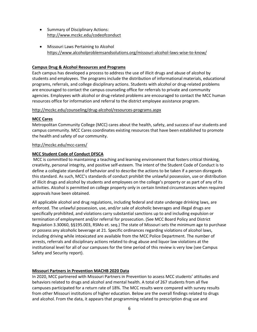- Summary of Disciplinary Actions: <http://www.mcckc.edu/codeofconduct>
- Missouri Laws Pertaining to Alcohol <https://www.alcoholproblemsandsolutions.org/missouri-alcohol-laws-wise-to-know/>

#### <span id="page-5-0"></span>**Campus Drug & Alcohol Resources and Programs**

Each campus has developed a process to address the use of illicit drugs and abuse of alcohol by students and employees. The programs include the distribution of informational materials, educational programs, referrals, and college disciplinary actions. Students with alcohol or drug-related problems are encouraged to contact the campus counseling office for referrals to private and community agencies. Employees with alcohol or drug-related problems are encouraged to contact the MCC human resources office for information and referral to the district employee assistance program.

#### <http://mcckc.edu/counseling/drug-alcohol/resources-programs.aspx>

#### <span id="page-5-1"></span>**MCC Cares**

Metropolitan Community College (MCC) cares about the health, safety, and success of our students and campus community. MCC Cares coordinates existing resources that have been established to promote the health and safety of our community.

#### <http://mcckc.edu/mcc-cares/>

#### <span id="page-5-2"></span>**MCC Student Code of Conduct DFSCA**

MCC is committed to maintaining a teaching and learning environment that fosters critical thinking, creativity, personal integrity, and positive self-esteem. The intent of the Student Code of Conduct is to define a collegiate standard of behavior and to describe the actions to be taken if a person disregards this standard. As such, MCC's standards of conduct prohibit the unlawful possession, use or distribution of illicit drugs and alcohol by students and employees on the college's property or as part of any of its activities. Alcohol is permitted on college property only in certain limited circumstances when required approvals have been obtained.

All applicable alcohol and drug regulations, including federal and state underage drinking laws, are enforced. The unlawful possession, use, and/or sale of alcoholic beverages and illegal drugs are specifically prohibited, and violations carry substantial sanctions up to and including expulsion or termination of employment and/or referral for prosecution. (See MCC Board Policy and District Regulation 3.30060, §§195.003, RSMo et. seq.) The state of Missouri sets the minimum age to purchase or possess any alcoholic beverage at 21. Specific ordinances regarding violations of alcohol laws, including driving while intoxicated are available from the MCC Police Department. The number of arrests, referrals and disciplinary actions related to drug abuse and liquor law violations at the institutional level for all of our campuses for the time period of this review is very low (see Campus Safety and Security report).

#### <span id="page-5-3"></span>**Missouri Partners in Prevention MACHB 2020 Data**

In 2020, MCC partnered with Missouri Partners in Prevention to assess MCC students' attitudes and behaviors related to drugs and alcohol and mental health. A total of 267 students from all five campuses participated for a return rate of 18%. The MCC results were compared with survey results from other Missouri institutions of higher education. Below are the overall findings related to drugs and alcohol. From the data, it appears that programming related to prescription drug use and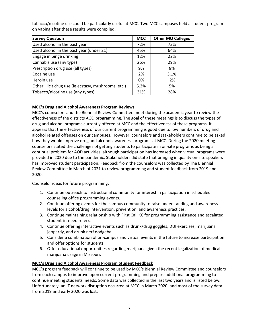tobacco/nicotine use could be particularly useful at MCC. Two MCC campuses held a student program on vaping after these results were compiled.

| <b>Survey Question</b>                               | <b>MCC</b> | <b>Other MO Colleges</b> |
|------------------------------------------------------|------------|--------------------------|
| Used alcohol in the past year                        | 72%        | 73%                      |
| Used alcohol in the past year (under 21)             | 45%        | 64%                      |
| Engage in binge drinking                             | 12%        | 22%                      |
| Cannabis use (any type)                              | 26%        | 29%                      |
| Prescription drug use (all types)                    | 9%         | 8%                       |
| Cocaine use                                          | 2%         | 3.1%                     |
| Heroin use                                           | 0%         | .2%                      |
| Other illicit drug use (ie ecstasy, mushrooms, etc.) | 5.3%       | 5%                       |
| Tobacco/nicotine use (any types)                     | 31%        | 28%                      |

# <span id="page-6-0"></span>**MCC's Drug and Alcohol Awareness Program Reviews**

MCC's counselors and the Biennial Review Committee meet during the academic year to review the effectiveness of the districts AOD programming. The goal of these meetings is to discuss the types of drug and alcohol programs currently offered at MCC and the effectiveness of these programs. It appears that the effectiveness of our current programming is good due to low numbers of drug and alcohol related offenses on our campuses. However, counselors and stakeholders continue to be asked how they would improve drug and alcohol awareness programs at MCC. During the 2020 meeting counselors stated the challenges of getting students to participate in on-site programs as being a continual problem for AOD activities, although participation has increased when virtual programs were provided in 2020 due to the pandemic. Stakeholders did state that bringing in quality on-site speakers has improved student participation. Feedback from the counselors was collected by The Biennial Review Committee in March of 2021 to review programming and student feedback from 2019 and 2020.

Counselor ideas for future programming:

- 1. Continue outreach to instructional community for interest in participation in scheduled counseling office programming events.
- 2. Continue offering events for the campus community to raise understanding and awareness levels for alcohol/drug intervention, prevention, and awareness practices.
- 3. Continue maintaining relationship with First Call KC for programming assistance and escalated student-in-need referrals.
- 4. Continue offering interactive events such as drunk/drug goggles, DUI exercises, marijuana jeopardy, and drunk nerf dodgeball.
- 5. Consider a combination of on-campus and virtual events in the future to increase participation and offer options for students.
- 6. Offer educational opportunities regarding marijuana given the recent legalization of medical marijuana usage in Missouri.

# <span id="page-6-1"></span>**MCC's Drug and Alcohol Awareness Program Student Feedback**

MCC's program feedback will continue to be used by MCC's Biennial Review Committee and counselors from each campus to improve upon current programming and prepare additional programming to continue meeting students' needs. Some data was collected in the last two years and is listed below. Unfortunately, an IT network disruption occurred at MCC in March 2020, and most of the survey data from 2019 and early 2020 was lost.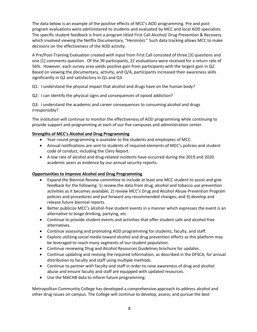The data below is an example of the positive effects of MCC's AOD programming. Pre and postprogram evaluations were administered to students and evaluated by MCC and local AOD specialists. The specific student feedback is from a program titled First Call Alcohol/ Drug Prevention & Recovery which involved viewing the Netflix Documentary, "Heroin(e)." Such data tracking allows MCC to make decisions on the effectiveness of the AOD activity.

A Pre/Post-Training Evaluation created with input from First Call consisted of three [3] questions and one [1] comments question. Of the 39 participants, 22 evaluations were received for a return rate of 56%. However, each survey area yields positive gain from participants with the largest gain in Q2. Based on viewing the documentary, activity, and Q/A, participants increased their awareness skills significantly in Q2 and satisfactory in Q1 and Q3.

Q1: I understand the physical impact that alcohol and drugs have on the human body?

Q2: I can identify the physical signs and consequences of opioid addiction?

Q3: I understand the academic and career consequences to consuming alcohol and drugs irresponsibly?

The institution will continue to monitor the effectiveness of AOD programming while continuing to provide support and programming at each of our five campuses and administration center.

#### <span id="page-7-0"></span>**Strengths of MCC's Alcohol and Drug Programming**

- Year-round programming is available to the students and employees of MCC.
- Annual notifications are sent to students of required elements of MCC's policies and student code of conduct, including the Clery Report.
- A low rate of alcohol and drug-related incidents have occurred during the 2019 and 2020 academic years as evidence by our annual security reports.

#### <span id="page-7-1"></span>**Opportunities to Improve Alcohol and Drug Programming**

- Expand the Biennial Review committee to include at least one MCC student to assist and give feedback for the following: 1) review the data from drug, alcohol and tobacco use prevention activities as it becomes available; 2) review MCC's Drug and Alcohol Abuse Prevention Program policies and procedures and put forward any recommended changes; and 3) develop and release future biennial reports.
- Better publicize MCC's alcohol-free student events in a manner which expresses the event is an alternative to binge drinking, partying, etc.
- Continue to provide student events and activities that offer student safe and alcohol-free alternatives.
- Continue assessing and promoting AOD programming for students, faculty, and staff.
- Explore utilizing social media toward alcohol and drug prevention efforts as this platform may be leveraged to reach many segments of our student population.
- Continue reviewing Drug and Alcohol Resources Guidelines brochure for updates.
- Continue updating and revising the required information, as described in the DFSCA, for annual distribution to faculty and staff using multiple methods.
- Continue to partner with faculty and staff in order to raise awareness of drug and alcohol abuse and ensure faculty and staff are equipped with updated resources.
- Use the MACHB data to inform future programming.

Metropolitan Community College has developed a comprehensive approach to address alcohol and other drug issues on campus. The College will continue to develop, assess, and pursue the best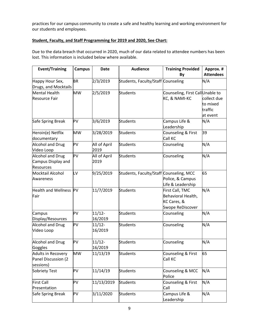practices for our campus community to create a safe and healthy learning and working environment for our students and employees.

# <span id="page-8-0"></span>**Student, Faculty, and Staff Programming for 2019 and 2020, See Chart:**

Due to the data breach that occurred in 2020, much of our data related to attendee numbers has been lost. This information is included below where available.

| <b>Event/Training</b>                                             | <b>Campus</b> | <b>Date</b>          | <b>Audience</b>                         | <b>Training Provided</b><br>By                                           | Approx. #<br><b>Attendees</b>                  |
|-------------------------------------------------------------------|---------------|----------------------|-----------------------------------------|--------------------------------------------------------------------------|------------------------------------------------|
| Happy Hour Sex,<br>Drugs, and Mocktails                           | <b>BR</b>     | 2/3/2019             | Students, Faculty/Staff Counseling      |                                                                          | N/A                                            |
| Mental Health<br><b>Resource Fair</b>                             | <b>MW</b>     | 2/5/2019             | <b>Students</b>                         | Counseling, First CallUnable to<br>KC, & NAMI-KC                         | collect due<br>to mixed<br>traffic<br>at event |
| Safe Spring Break                                                 | PV            | 3/6/2019             | <b>Students</b>                         | Campus Life &<br>Leadership                                              | N/A                                            |
| Heroin(e) Netflix<br>documentary                                  | <b>MW</b>     | 3/28/2019            | <b>Students</b>                         | Counseling & First<br>Call KC                                            | 39                                             |
| <b>Alcohol and Drug</b><br>Video Loop                             | PV            | All of April<br>2019 | <b>Students</b>                         | Counseling                                                               | N/A                                            |
| <b>Alcohol and Drug</b><br>Campus Display and<br><b>Resources</b> | PV            | All of April<br>2019 | <b>Students</b>                         | Counseling                                                               | N/A                                            |
| Mocktail Alcohol<br>Awareness                                     | LV            | 9/25/2019            | Students, Faculty/Staff Counseling, MCC | Police, & Campus<br>Life & Leadership                                    | 65                                             |
| <b>Health and Wellness</b><br>Fair                                | <b>PV</b>     | 11/7/2019            | <b>Students</b>                         | First Call, TMC<br>Behavioral Health,<br>KC Cares, &<br>Swope ReDiscover | N/A                                            |
| Campus<br>Display/Resources                                       | PV            | $11/12 -$<br>16/2019 | <b>Students</b>                         | Counseling                                                               | N/A                                            |
| Alcohol and Drug<br>Video Loop                                    | PV            | $11/12 -$<br>16/2019 | <b>Students</b>                         | Counseling                                                               | N/A                                            |
| <b>Alcohol and Drug</b><br>Goggles                                | PV            | $11/12 -$<br>16/2019 | <b>Students</b>                         | Counseling                                                               | N/A                                            |
| Adults in Recovery<br>Panel Discussion (2<br>sessions)            | <b>MW</b>     | 11/13/19             | Students                                | Counseling & First<br>Call KC                                            | 65                                             |
| Sobriety Test                                                     | PV            | 11/14/19             | <b>Students</b>                         | Counseling & MCC<br>Police                                               | N/A                                            |
| <b>First Call</b><br>Presentation                                 | PV            | 11/13/2019           | <b>Students</b>                         | Counseling & First<br>Call                                               | N/A                                            |
| Safe Spring Break                                                 | PV            | 3/11/2020            | <b>Students</b>                         | Campus Life &<br>Leadership                                              | N/A                                            |